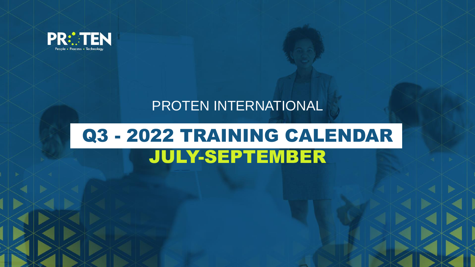

## PROTEN INTERNATIONAL

# Q3 - 2022 TRAINING CALENDAR JULY-SEPTEMBER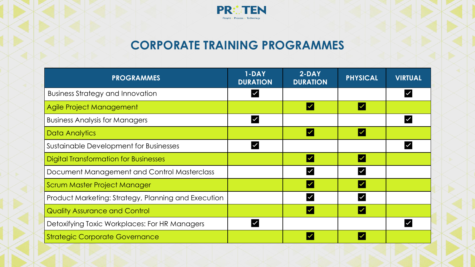

### **CORPORATE TRAINING PROGRAMMES**

| <b>PROGRAMMES</b>                                   | 1-DAY<br><b>DURATION</b> | $2-DAY$<br><b>DURATION</b> | <b>PHYSICAL</b>         | <b>VIRTUAL</b> |
|-----------------------------------------------------|--------------------------|----------------------------|-------------------------|----------------|
| <b>Business Strategy and Innovation</b>             |                          |                            |                         |                |
| Agile Project Management                            |                          | $\overline{\mathsf{v}}$    | $\overline{\mathsf{v}}$ |                |
| <b>Business Analysis for Managers</b>               |                          |                            |                         |                |
| Data Analytics                                      |                          | $\overline{\mathsf{v}}$    | $\checkmark$            |                |
| Sustainable Development for Businesses              |                          |                            |                         |                |
| <b>Digital Transformation for Businesses</b>        |                          | $\overline{\mathsf{v}}$    | $\overline{\checkmark}$ |                |
| Document Management and Control Masterclass         |                          | $\overline{\mathsf{v}}$    |                         |                |
| Scrum Master Project Manager                        |                          | $\overline{\mathsf{v}}$    |                         |                |
| Product Marketing: Strategy, Planning and Execution |                          |                            |                         |                |
| <b>Quality Assurance and Control</b>                |                          | $\checkmark$               |                         |                |
| Detoxifying Toxic Workplaces: For HR Managers       |                          |                            |                         |                |
| <b>Strategic Corporate Governance</b>               |                          |                            |                         |                |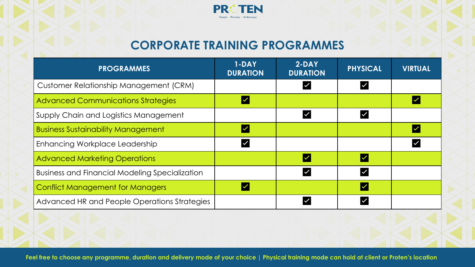

#### **CORPORATE TRAINING PROGRAMMES**

| <b>PROGRAMMES</b>                                     | 1-DAY<br><b>DURATION</b> | $2-DAY$<br><b>DURATION</b> | <b>PHYSICAL</b>         | <b>VIRTUAL</b> |
|-------------------------------------------------------|--------------------------|----------------------------|-------------------------|----------------|
| Customer Relationship Management (CRM)                |                          |                            |                         |                |
| <b>Advanced Communications Strategies</b>             | V                        |                            |                         |                |
| Supply Chain and Logistics Management                 |                          |                            | $\overline{\checkmark}$ |                |
| <b>Business Sustainability Management</b>             | $\overline{\mathbf{v}}$  |                            |                         |                |
| Enhancing Workplace Leadership                        | $\overline{\checkmark}$  |                            |                         |                |
| <b>Advanced Marketing Operations</b>                  |                          |                            | $\overline{\mathsf{v}}$ |                |
| <b>Business and Financial Modeling Specialization</b> |                          |                            | $\checkmark$            |                |
| <b>Conflict Management for Managers</b>               | $\overline{\vee}$        |                            | $\overline{\mathsf{v}}$ |                |
| Advanced HR and People Operations Strategies          |                          |                            |                         |                |
|                                                       |                          |                            |                         |                |

**Feel free to choose any programme, duration and delivery mode of your choice | Physical training mode can hold at client or Proten's location**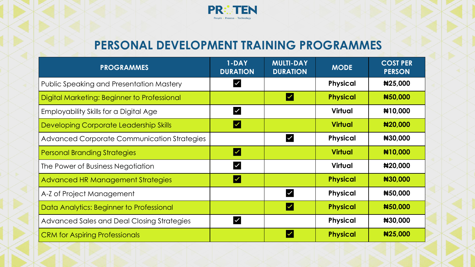

### **PERSONAL DEVELOPMENT TRAINING PROGRAMMES**

| <b>PROGRAMMES</b>                               | $1-DAY$<br><b>DURATION</b> | <b>MULTI-DAY</b><br><b>DURATION</b> | <b>MODE</b>     | <b>COST PER</b><br><b>PERSON</b> |
|-------------------------------------------------|----------------------------|-------------------------------------|-----------------|----------------------------------|
| <b>Public Speaking and Presentation Mastery</b> | $\checkmark$               |                                     | <b>Physical</b> | #25,000                          |
| Digital Marketing: Beginner to Professional     |                            | ╿╱                                  | <b>Physical</b> | #50,000                          |
| Employability Skills for a Digital Age          | $\blacktriangledown$       |                                     | <b>Virtual</b>  | #10,000                          |
| Developing Corporate Leadership Skills          | $\overline{\mathsf{v}}$    |                                     | <b>Virtual</b>  | #20,000                          |
| Advanced Corporate Communication Strategies     |                            | V                                   | <b>Physical</b> | #30,000                          |
| <b>Personal Branding Strategies</b>             | $ \mathcal{V} $            |                                     | <b>Virtual</b>  | #10,000                          |
| The Power of Business Negotiation               | $\checkmark$               |                                     | Virtual         | #20,000                          |
| Advanced HR Management Strategies               | $\overline{\mathsf{v}}$    |                                     | <b>Physical</b> | #30,000                          |
| A-Z of Project Management                       |                            | V                                   | <b>Physical</b> | #50,000                          |
| Data Analytics: Beginner to Professional        |                            | ┃✓                                  | <b>Physical</b> | #50,000                          |
| Advanced Sales and Deal Closing Strategies      | $\checkmark$               |                                     | <b>Physical</b> | #30,000                          |
| <b>CRM</b> for Aspiring Professionals           |                            | ∣✓                                  | <b>Physical</b> | #25,000                          |